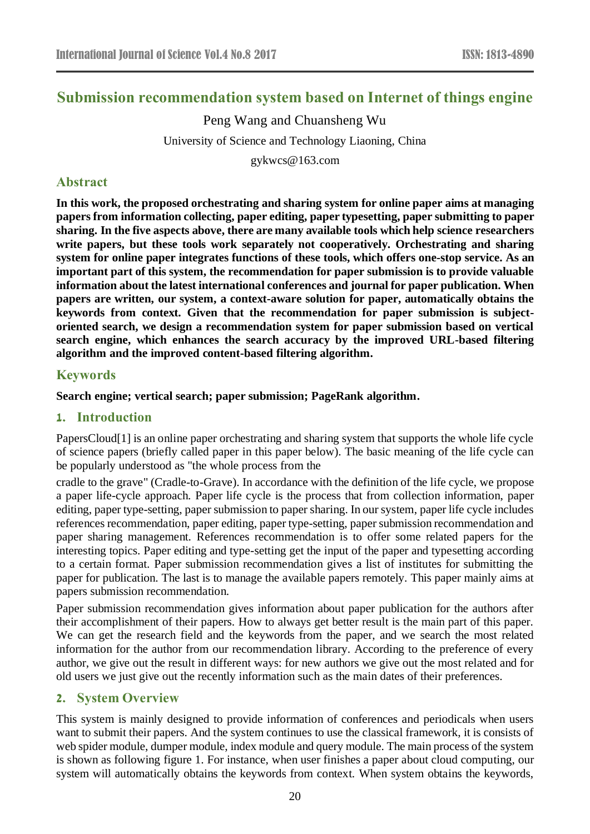# **Submission recommendation system based on Internet of things engine**

Peng Wang and Chuansheng Wu

University of Science and Technology Liaoning, China

[gykwcs@163.com](mailto:gykwcs@163.com)

### **Abstract**

**In this work, the proposed orchestrating and sharing system for online paper aims at managing papers from information collecting, paper editing, paper typesetting, paper submitting to paper sharing. In the five aspects above, there are many available tools which help science researchers write papers, but these tools work separately not cooperatively. Orchestrating and sharing system for online paper integrates functions of these tools, which offers one-stop service. As an important part of this system, the recommendation for paper submission is to provide valuable information about the latest international conferences and journal for paper publication. When papers are written, our system, a context-aware solution for paper, automatically obtains the keywords from context. Given that the recommendation for paper submission is subjectoriented search, we design a recommendation system for paper submission based on vertical search engine, which enhances the search accuracy by the improved URL-based filtering algorithm and the improved content-based filtering algorithm.**

## **Keywords**

#### **Search engine; vertical search; paper submission; PageRank algorithm.**

### **1. Introduction**

PapersCloud<sup>[1]</sup> is an online paper orchestrating and sharing system that supports the whole life cycle of science papers (briefly called paper in this paper below). The basic meaning of the life cycle can be popularly understood as "the whole process from the

cradle to the grave" (Cradle-to-Grave). In accordance with the definition of the life cycle, we propose a paper life-cycle approach. Paper life cycle is the process that from collection information, paper editing, paper type-setting, paper submission to paper sharing. In our system, paper life cycle includes references recommendation, paper editing, paper type-setting, paper submission recommendation and paper sharing management. References recommendation is to offer some related papers for the interesting topics. Paper editing and type-setting get the input of the paper and typesetting according to a certain format. Paper submission recommendation gives a list of institutes for submitting the paper for publication. The last is to manage the available papers remotely. This paper mainly aims at papers submission recommendation.

Paper submission recommendation gives information about paper publication for the authors after their accomplishment of their papers. How to always get better result is the main part of this paper. We can get the research field and the keywords from the paper, and we search the most related information for the author from our recommendation library. According to the preference of every author, we give out the result in different ways: for new authors we give out the most related and for old users we just give out the recently information such as the main dates of their preferences.

### **2. System Overview**

This system is mainly designed to provide information of conferences and periodicals when users want to submit their papers. And the system continues to use the classical framework, it is consists of web spider module, dumper module, index module and query module. The main process of the system is shown as following figure 1. For instance, when user finishes a paper about cloud computing, our system will automatically obtains the keywords from context. When system obtains the keywords,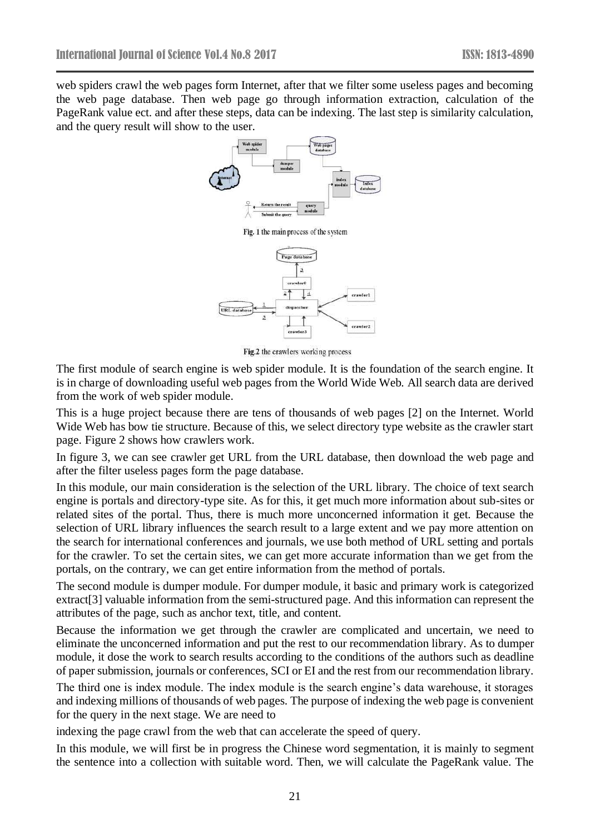web spiders crawl the web pages form Internet, after that we filter some useless pages and becoming the web page database. Then web page go through information extraction, calculation of the PageRank value ect. and after these steps, data can be indexing. The last step is similarity calculation, and the query result will show to the user.



Fig. 1 the main process of the system



Fig.2 the crawlers working process

The first module of search engine is web spider module. It is the foundation of the search engine. It is in charge of downloading useful web pages from the World Wide Web. All search data are derived from the work of web spider module.

This is a huge project because there are tens of thousands of web pages [2] on the Internet. World Wide Web has bow tie structure. Because of this, we select directory type website as the crawler start page. Figure 2 shows how crawlers work.

In figure 3, we can see crawler get URL from the URL database, then download the web page and after the filter useless pages form the page database.

In this module, our main consideration is the selection of the URL library. The choice of text search engine is portals and directory-type site. As for this, it get much more information about sub-sites or related sites of the portal. Thus, there is much more unconcerned information it get. Because the selection of URL library influences the search result to a large extent and we pay more attention on the search for international conferences and journals, we use both method of URL setting and portals for the crawler. To set the certain sites, we can get more accurate information than we get from the portals, on the contrary, we can get entire information from the method of portals.

The second module is dumper module. For dumper module, it basic and primary work is categorized extract[3] valuable information from the semi-structured page. And this information can represent the attributes of the page, such as anchor text, title, and content.

Because the information we get through the crawler are complicated and uncertain, we need to eliminate the unconcerned information and put the rest to our recommendation library. As to dumper module, it dose the work to search results according to the conditions of the authors such as deadline of paper submission, journals or conferences, SCI or EI and the rest from our recommendation library.

The third one is index module. The index module is the search engine's data warehouse, it storages and indexing millions of thousands of web pages. The purpose of indexing the web page is convenient for the query in the next stage. We are need to

indexing the page crawl from the web that can accelerate the speed of query.

In this module, we will first be in progress the Chinese word segmentation, it is mainly to segment the sentence into a collection with suitable word. Then, we will calculate the PageRank value. The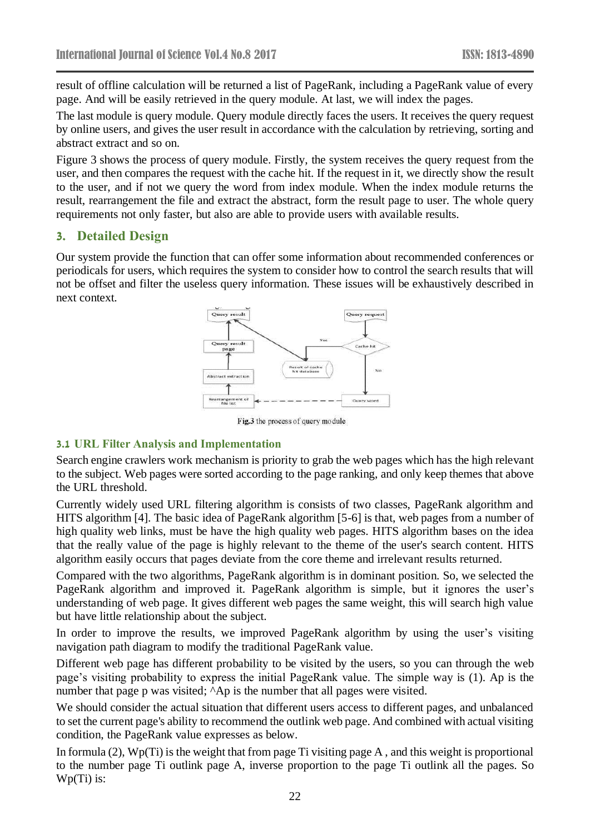result of offline calculation will be returned a list of PageRank, including a PageRank value of every page. And will be easily retrieved in the query module. At last, we will index the pages.

The last module is query module. Query module directly faces the users. It receives the query request by online users, and gives the user result in accordance with the calculation by retrieving, sorting and abstract extract and so on.

Figure 3 shows the process of query module. Firstly, the system receives the query request from the user, and then compares the request with the cache hit. If the request in it, we directly show the result to the user, and if not we query the word from index module. When the index module returns the result, rearrangement the file and extract the abstract, form the result page to user. The whole query requirements not only faster, but also are able to provide users with available results.

### **3. Detailed Design**

Our system provide the function that can offer some information about recommended conferences or periodicals for users, which requires the system to consider how to control the search results that will not be offset and filter the useless query information. These issues will be exhaustively described in next context.



Fig.3 the process of query module

#### **3.1 URL Filter Analysis and Implementation**

Search engine crawlers work mechanism is priority to grab the web pages which has the high relevant to the subject. Web pages were sorted according to the page ranking, and only keep themes that above the URL threshold.

Currently widely used URL filtering algorithm is consists of two classes, PageRank algorithm and HITS algorithm [4]. The basic idea of PageRank algorithm [5-6] is that, web pages from a number of high quality web links, must be have the high quality web pages. HITS algorithm bases on the idea that the really value of the page is highly relevant to the theme of the user's search content. HITS algorithm easily occurs that pages deviate from the core theme and irrelevant results returned.

Compared with the two algorithms, PageRank algorithm is in dominant position. So, we selected the PageRank algorithm and improved it. PageRank algorithm is simple, but it ignores the user's understanding of web page. It gives different web pages the same weight, this will search high value but have little relationship about the subject.

In order to improve the results, we improved PageRank algorithm by using the user's visiting navigation path diagram to modify the traditional PageRank value.

Different web page has different probability to be visited by the users, so you can through the web page's visiting probability to express the initial PageRank value. The simple way is (1). Ap is the number that page p was visited;  $\Delta p$  is the number that all pages were visited.

We should consider the actual situation that different users access to different pages, and unbalanced to set the current page's ability to recommend the outlink web page. And combined with actual visiting condition, the PageRank value expresses as below.

In formula (2),  $Wp(Ti)$  is the weight that from page Ti visiting page A, and this weight is proportional to the number page Ti outlink page A, inverse proportion to the page Ti outlink all the pages. So Wp(Ti) is: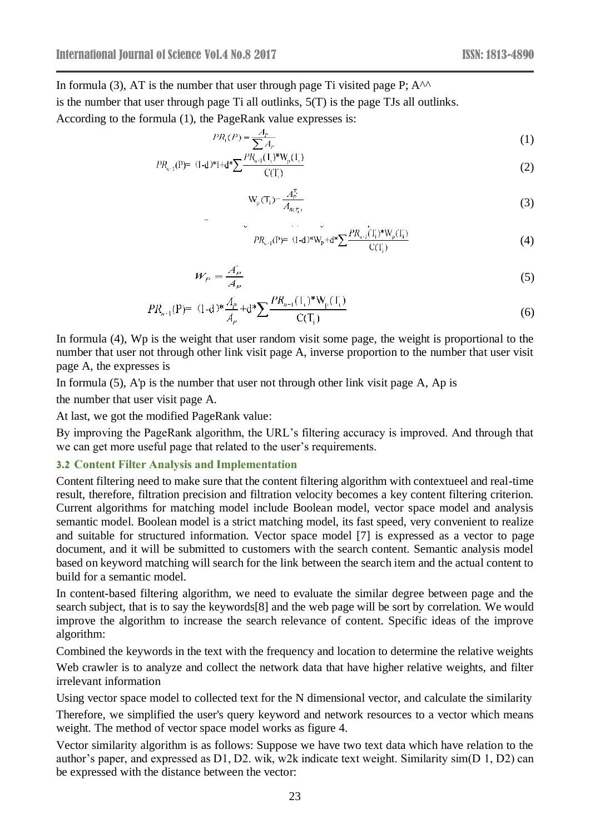In formula (3), AT is the number that user through page Ti visited page P;  $A^{\wedge\wedge}$ is the number that user through page Ti all outlinks, 5(T) is the page TJs all outlinks. According to the formula (1), the PageRank value expresses is:

$$
PR_{1}(P) = \frac{A_{P}}{\sum A_{P}} \tag{1}
$$

$$
PR_{n+1}(P) = (1-d)^*1 + d^* \sum \frac{PR_{n+1}(T_1)^* W_p(T_1)}{C(T_1)}
$$
\n(2)

$$
W_p(T_i) = \frac{A_p^T}{A_{B(T_i)}}\tag{3}
$$

$$
PR_{n+1}(P) = (1-d)^*W_p + d^* \sum \frac{PR_{n+1}(T_i)^*W_p(T_i)}{C(T_i)}
$$
\n(4)

$$
W_P = \frac{A_P^i}{A_P} \tag{5}
$$

$$
PR_{n+1}(P) = (1-d)^{*} \frac{A_{P}^{'} }{A_{P}} + d^{*} \sum \frac{PR_{n+1}(T_{i})^{*} W_{p}(T_{i})}{C(T_{i})}
$$
(6)

In formula (4), Wp is the weight that user random visit some page, the weight is proportional to the number that user not through other link visit page A, inverse proportion to the number that user visit page A, the expresses is

In formula  $(5)$ , A'p is the number that user not through other link visit page A, Ap is

the number that user visit page A.

At last, we got the modified PageRank value:

By improving the PageRank algorithm, the URL's filtering accuracy is improved. And through that we can get more useful page that related to the user's requirements.

#### **3.2 Content Filter Analysis and Implementation**

Content filtering need to make sure that the content filtering algorithm with contextueel and real-time result, therefore, filtration precision and filtration velocity becomes a key content filtering criterion. Current algorithms for matching model include Boolean model, vector space model and analysis semantic model. Boolean model is a strict matching model, its fast speed, very convenient to realize and suitable for structured information. Vector space model [7] is expressed as a vector to page document, and it will be submitted to customers with the search content. Semantic analysis model based on keyword matching will search for the link between the search item and the actual content to build for a semantic model.

In content-based filtering algorithm, we need to evaluate the similar degree between page and the search subject, that is to say the keywords[8] and the web page will be sort by correlation. We would improve the algorithm to increase the search relevance of content. Specific ideas of the improve algorithm:

Combined the keywords in the text with the frequency and location to determine the relative weights Web crawler is to analyze and collect the network data that have higher relative weights, and filter irrelevant information

Using vector space model to collected text for the N dimensional vector, and calculate the similarity Therefore, we simplified the user's query keyword and network resources to a vector which means weight. The method of vector space model works as figure 4.

Vector similarity algorithm is as follows: Suppose we have two text data which have relation to the author's paper, and expressed as D1, D2. wik, w2k indicate text weight. Similarity sim(D 1, D2) can be expressed with the distance between the vector: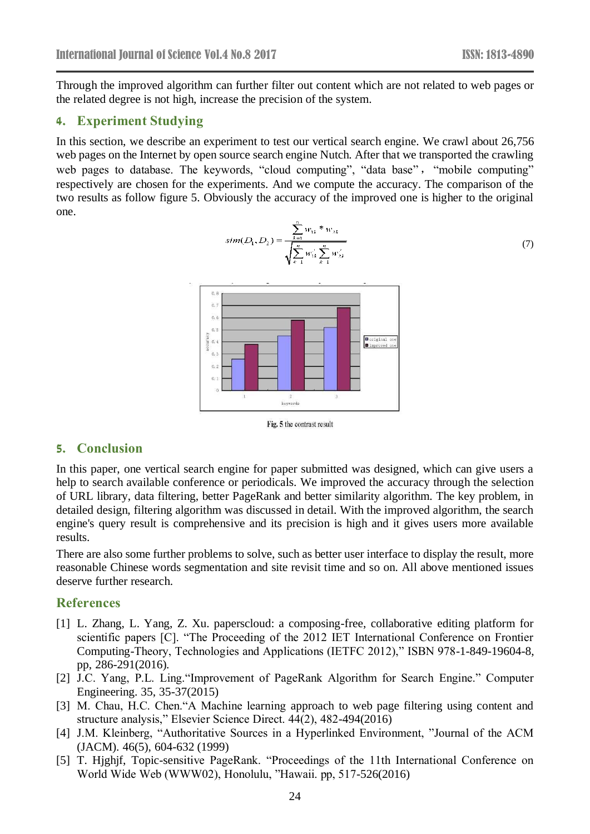(7)

Through the improved algorithm can further filter out content which are not related to web pages or the related degree is not high, increase the precision of the system.

#### **4. Experiment Studying**

In this section, we describe an experiment to test our vertical search engine. We crawl about 26,756 web pages on the Internet by open source search engine Nutch. After that we transported the crawling web pages to database. The keywords, "cloud computing", "data base", "mobile computing" respectively are chosen for the experiments. And we compute the accuracy. The comparison of the two results as follow figure 5. Obviously the accuracy of the improved one is higher to the original one.



Fig. 5 the contrast result

#### **5. Conclusion**

In this paper, one vertical search engine for paper submitted was designed, which can give users a help to search available conference or periodicals. We improved the accuracy through the selection of URL library, data filtering, better PageRank and better similarity algorithm. The key problem, in detailed design, filtering algorithm was discussed in detail. With the improved algorithm, the search engine's query result is comprehensive and its precision is high and it gives users more available results.

There are also some further problems to solve, such as better user interface to display the result, more reasonable Chinese words segmentation and site revisit time and so on. All above mentioned issues deserve further research.

### **References**

- [1] L. Zhang, L. Yang, Z. Xu. paperscloud: a composing-free, collaborative editing platform for scientific papers [C]. "The Proceeding of the 2012 IET International Conference on Frontier Computing-Theory, Technologies and Applications (IETFC 2012)," ISBN 978-1-849-19604-8, pp, 286-291(2016).
- [2] J.C. Yang, P.L. Ling."Improvement of PageRank Algorithm for Search Engine." Computer Engineering. 35, 35-37(2015)
- [3] M. Chau, H.C. Chen. "A Machine learning approach to web page filtering using content and structure analysis," Elsevier Science Direct. 44(2), 482-494(2016)
- [4] J.M. Kleinberg, "Authoritative Sources in a Hyperlinked Environment, "Journal of the ACM (JACM). 46(5), 604-632 (1999)
- [5] T. Hjghjf, Topic-sensitive PageRank. "Proceedings of the 11th International Conference on World Wide Web (WWW02), Honolulu, "Hawaii. pp, 517-526(2016)